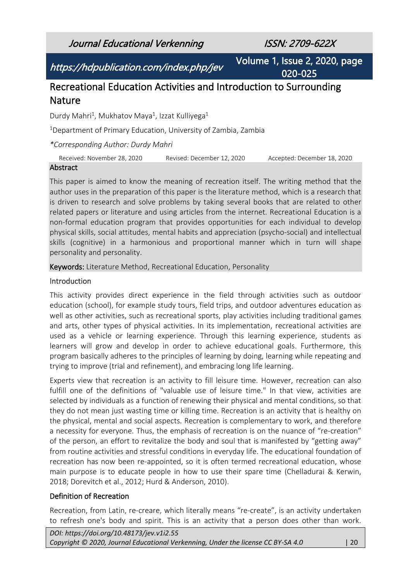Journal Educational Verkenning ISSN: 2709-622X

https://hdpublication.com/index.php/jev

Volume 1, Issue 2, 2020, page 020-025

# Recreational Education Activities and Introduction to Surrounding Nature

Durdy Mahri<sup>1</sup>, Mukhatov Maya<sup>1</sup>, Izzat Kulliyega<sup>1</sup>

<sup>1</sup>Department of Primary Education, University of Zambia, Zambia

*\*Corresponding Author: Durdy Mahri*

Received: November 28, 2020 Revised: December 12, 2020 Accepted: December 18, 2020

#### Abstract

This paper is aimed to know the meaning of recreation itself. The writing method that the author uses in the preparation of this paper is the literature method, which is a research that is driven to research and solve problems by taking several books that are related to other related papers or literature and using articles from the internet. Recreational Education is a non-formal education program that provides opportunities for each individual to develop physical skills, social attitudes, mental habits and appreciation (psycho-social) and intellectual skills (cognitive) in a harmonious and proportional manner which in turn will shape personality and personality.

Keywords: Literature Method, Recreational Education, Personality

#### **Introduction**

This activity provides direct experience in the field through activities such as outdoor education (school), for example study tours, field trips, and outdoor adventures education as well as other activities, such as recreational sports, play activities including traditional games and arts, other types of physical activities. In its implementation, recreational activities are used as a vehicle or learning experience. Through this learning experience, students as learners will grow and develop in order to achieve educational goals. Furthermore, this program basically adheres to the principles of learning by doing, learning while repeating and trying to improve (trial and refinement), and embracing long life learning.

Experts view that recreation is an activity to fill leisure time. However, recreation can also fulfill one of the definitions of "valuable use of leisure time." In that view, activities are selected by individuals as a function of renewing their physical and mental conditions, so that they do not mean just wasting time or killing time. Recreation is an activity that is healthy on the physical, mental and social aspects. Recreation is complementary to work, and therefore a necessity for everyone. Thus, the emphasis of recreation is on the nuance of "re-creation" of the person, an effort to revitalize the body and soul that is manifested by "getting away" from routine activities and stressful conditions in everyday life. The educational foundation of recreation has now been re-appointed, so it is often termed recreational education, whose main purpose is to educate people in how to use their spare time (Chelladurai & Kerwin, 2018; Dorevitch et al., 2012; Hurd & Anderson, 2010).

#### Definition of Recreation

Recreation, from Latin, re-creare, which literally means "re-create", is an activity undertaken to refresh one's body and spirit. This is an activity that a person does other than work.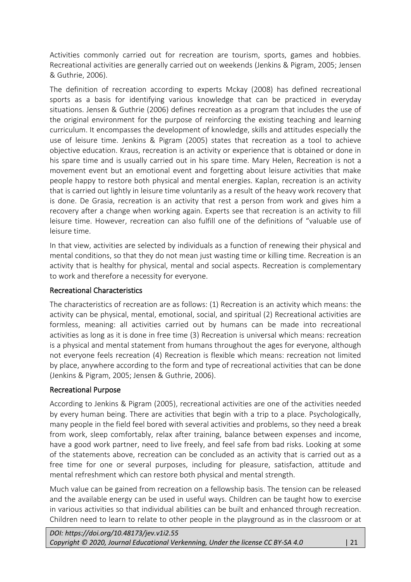Activities commonly carried out for recreation are tourism, sports, games and hobbies. Recreational activities are generally carried out on weekends (Jenkins & Pigram, 2005; Jensen & Guthrie, 2006).

The definition of recreation according to experts Mckay (2008) has defined recreational sports as a basis for identifying various knowledge that can be practiced in everyday situations. Jensen & Guthrie (2006) defines recreation as a program that includes the use of the original environment for the purpose of reinforcing the existing teaching and learning curriculum. It encompasses the development of knowledge, skills and attitudes especially the use of leisure time. Jenkins & Pigram (2005) states that recreation as a tool to achieve objective education. Kraus, recreation is an activity or experience that is obtained or done in his spare time and is usually carried out in his spare time. Mary Helen, Recreation is not a movement event but an emotional event and forgetting about leisure activities that make people happy to restore both physical and mental energies. Kaplan, recreation is an activity that is carried out lightly in leisure time voluntarily as a result of the heavy work recovery that is done. De Grasia, recreation is an activity that rest a person from work and gives him a recovery after a change when working again. Experts see that recreation is an activity to fill leisure time. However, recreation can also fulfill one of the definitions of "valuable use of leisure time.

In that view, activities are selected by individuals as a function of renewing their physical and mental conditions, so that they do not mean just wasting time or killing time. Recreation is an activity that is healthy for physical, mental and social aspects. Recreation is complementary to work and therefore a necessity for everyone.

#### Recreational Characteristics

The characteristics of recreation are as follows: (1) Recreation is an activity which means: the activity can be physical, mental, emotional, social, and spiritual (2) Recreational activities are formless, meaning: all activities carried out by humans can be made into recreational activities as long as it is done in free time (3) Recreation is universal which means: recreation is a physical and mental statement from humans throughout the ages for everyone, although not everyone feels recreation (4) Recreation is flexible which means: recreation not limited by place, anywhere according to the form and type of recreational activities that can be done (Jenkins & Pigram, 2005; Jensen & Guthrie, 2006).

#### Recreational Purpose

According to Jenkins & Pigram (2005), recreational activities are one of the activities needed by every human being. There are activities that begin with a trip to a place. Psychologically, many people in the field feel bored with several activities and problems, so they need a break from work, sleep comfortably, relax after training, balance between expenses and income, have a good work partner, need to live freely, and feel safe from bad risks. Looking at some of the statements above, recreation can be concluded as an activity that is carried out as a free time for one or several purposes, including for pleasure, satisfaction, attitude and mental refreshment which can restore both physical and mental strength.

Much value can be gained from recreation on a fellowship basis. The tension can be released and the available energy can be used in useful ways. Children can be taught how to exercise in various activities so that individual abilities can be built and enhanced through recreation. Children need to learn to relate to other people in the playground as in the classroom or at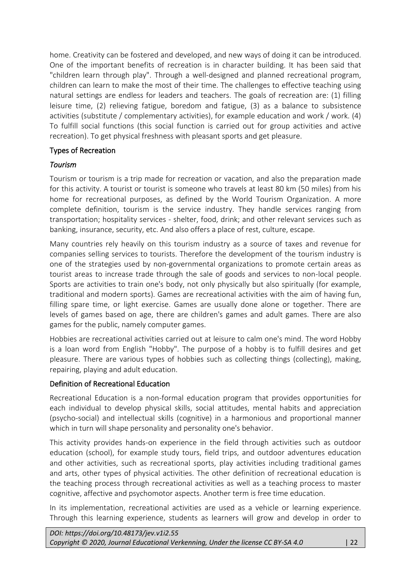home. Creativity can be fostered and developed, and new ways of doing it can be introduced. One of the important benefits of recreation is in character building. It has been said that "children learn through play". Through a well-designed and planned recreational program, children can learn to make the most of their time. The challenges to effective teaching using natural settings are endless for leaders and teachers. The goals of recreation are: (1) filling leisure time, (2) relieving fatigue, boredom and fatigue, (3) as a balance to subsistence activities (substitute / complementary activities), for example education and work / work. (4) To fulfill social functions (this social function is carried out for group activities and active recreation). To get physical freshness with pleasant sports and get pleasure.

## Types of Recreation

## *Tourism*

Tourism or tourism is a trip made for recreation or vacation, and also the preparation made for this activity. A tourist or tourist is someone who travels at least 80 km (50 miles) from his home for recreational purposes, as defined by the World Tourism Organization. A more complete definition, tourism is the service industry. They handle services ranging from transportation; hospitality services - shelter, food, drink; and other relevant services such as banking, insurance, security, etc. And also offers a place of rest, culture, escape.

Many countries rely heavily on this tourism industry as a source of taxes and revenue for companies selling services to tourists. Therefore the development of the tourism industry is one of the strategies used by non-governmental organizations to promote certain areas as tourist areas to increase trade through the sale of goods and services to non-local people. Sports are activities to train one's body, not only physically but also spiritually (for example, traditional and modern sports). Games are recreational activities with the aim of having fun, filling spare time, or light exercise. Games are usually done alone or together. There are levels of games based on age, there are children's games and adult games. There are also games for the public, namely computer games.

Hobbies are recreational activities carried out at leisure to calm one's mind. The word Hobby is a loan word from English "Hobby". The purpose of a hobby is to fulfill desires and get pleasure. There are various types of hobbies such as collecting things (collecting), making, repairing, playing and adult education.

## Definition of Recreational Education

Recreational Education is a non-formal education program that provides opportunities for each individual to develop physical skills, social attitudes, mental habits and appreciation (psycho-social) and intellectual skills (cognitive) in a harmonious and proportional manner which in turn will shape personality and personality one's behavior.

This activity provides hands-on experience in the field through activities such as outdoor education (school), for example study tours, field trips, and outdoor adventures education and other activities, such as recreational sports, play activities including traditional games and arts, other types of physical activities. The other definition of recreational education is the teaching process through recreational activities as well as a teaching process to master cognitive, affective and psychomotor aspects. Another term is free time education.

In its implementation, recreational activities are used as a vehicle or learning experience. Through this learning experience, students as learners will grow and develop in order to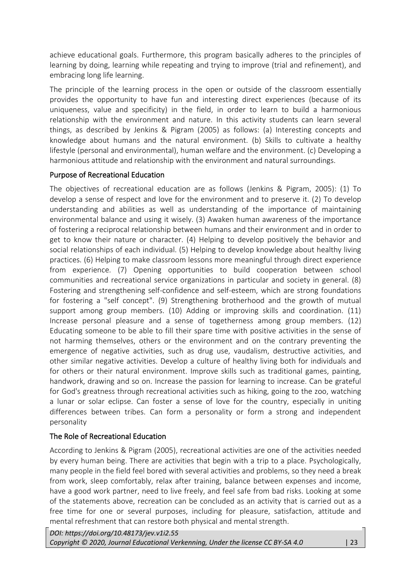achieve educational goals. Furthermore, this program basically adheres to the principles of learning by doing, learning while repeating and trying to improve (trial and refinement), and embracing long life learning.

The principle of the learning process in the open or outside of the classroom essentially provides the opportunity to have fun and interesting direct experiences (because of its uniqueness, value and specificity) in the field, in order to learn to build a harmonious relationship with the environment and nature. In this activity students can learn several things, as described by Jenkins & Pigram (2005) as follows: (a) Interesting concepts and knowledge about humans and the natural environment. (b) Skills to cultivate a healthy lifestyle (personal and environmental), human welfare and the environment. (c) Developing a harmonious attitude and relationship with the environment and natural surroundings.

## Purpose of Recreational Education

The objectives of recreational education are as follows (Jenkins & Pigram, 2005): (1) To develop a sense of respect and love for the environment and to preserve it. (2) To develop understanding and abilities as well as understanding of the importance of maintaining environmental balance and using it wisely. (3) Awaken human awareness of the importance of fostering a reciprocal relationship between humans and their environment and in order to get to know their nature or character. (4) Helping to develop positively the behavior and social relationships of each individual. (5) Helping to develop knowledge about healthy living practices. (6) Helping to make classroom lessons more meaningful through direct experience from experience. (7) Opening opportunities to build cooperation between school communities and recreational service organizations in particular and society in general. (8) Fostering and strengthening self-confidence and self-esteem, which are strong foundations for fostering a "self concept". (9) Strengthening brotherhood and the growth of mutual support among group members. (10) Adding or improving skills and coordination. (11) Increase personal pleasure and a sense of togetherness among group members. (12) Educating someone to be able to fill their spare time with positive activities in the sense of not harming themselves, others or the environment and on the contrary preventing the emergence of negative activities, such as drug use, vaudalism, destructive activities, and other similar negative activities. Develop a culture of healthy living both for individuals and for others or their natural environment. Improve skills such as traditional games, painting, handwork, drawing and so on. Increase the passion for learning to increase. Can be grateful for God's greatness through recreational activities such as hiking, going to the zoo, watching a lunar or solar eclipse. Can foster a sense of love for the country, especially in uniting differences between tribes. Can form a personality or form a strong and independent personality

## The Role of Recreational Education

According to Jenkins & Pigram (2005), recreational activities are one of the activities needed by every human being. There are activities that begin with a trip to a place. Psychologically, many people in the field feel bored with several activities and problems, so they need a break from work, sleep comfortably, relax after training, balance between expenses and income, have a good work partner, need to live freely, and feel safe from bad risks. Looking at some of the statements above, recreation can be concluded as an activity that is carried out as a free time for one or several purposes, including for pleasure, satisfaction, attitude and mental refreshment that can restore both physical and mental strength.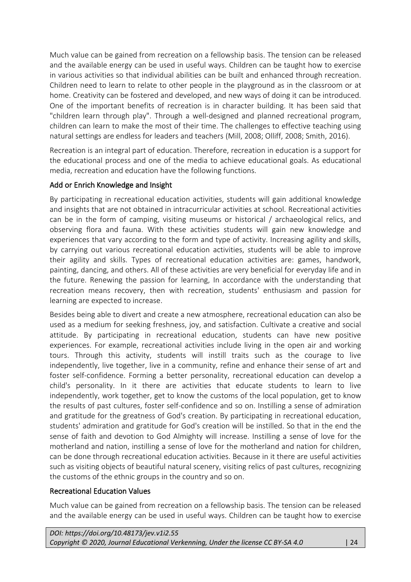Much value can be gained from recreation on a fellowship basis. The tension can be released and the available energy can be used in useful ways. Children can be taught how to exercise in various activities so that individual abilities can be built and enhanced through recreation. Children need to learn to relate to other people in the playground as in the classroom or at home. Creativity can be fostered and developed, and new ways of doing it can be introduced. One of the important benefits of recreation is in character building. It has been said that "children learn through play". Through a well-designed and planned recreational program, children can learn to make the most of their time. The challenges to effective teaching using natural settings are endless for leaders and teachers (Mill, 2008; Olliff, 2008; Smith, 2016).

Recreation is an integral part of education. Therefore, recreation in education is a support for the educational process and one of the media to achieve educational goals. As educational media, recreation and education have the following functions.

## Add or Enrich Knowledge and Insight

By participating in recreational education activities, students will gain additional knowledge and insights that are not obtained in intracurricular activities at school. Recreational activities can be in the form of camping, visiting museums or historical / archaeological relics, and observing flora and fauna. With these activities students will gain new knowledge and experiences that vary according to the form and type of activity. Increasing agility and skills, by carrying out various recreational education activities, students will be able to improve their agility and skills. Types of recreational education activities are: games, handwork, painting, dancing, and others. All of these activities are very beneficial for everyday life and in the future. Renewing the passion for learning, In accordance with the understanding that recreation means recovery, then with recreation, students' enthusiasm and passion for learning are expected to increase.

Besides being able to divert and create a new atmosphere, recreational education can also be used as a medium for seeking freshness, joy, and satisfaction. Cultivate a creative and social attitude. By participating in recreational education, students can have new positive experiences. For example, recreational activities include living in the open air and working tours. Through this activity, students will instill traits such as the courage to live independently, live together, live in a community, refine and enhance their sense of art and foster self-confidence. Forming a better personality, recreational education can develop a child's personality. In it there are activities that educate students to learn to live independently, work together, get to know the customs of the local population, get to know the results of past cultures, foster self-confidence and so on. Instilling a sense of admiration and gratitude for the greatness of God's creation. By participating in recreational education, students' admiration and gratitude for God's creation will be instilled. So that in the end the sense of faith and devotion to God Almighty will increase. Instilling a sense of love for the motherland and nation, instilling a sense of love for the motherland and nation for children, can be done through recreational education activities. Because in it there are useful activities such as visiting objects of beautiful natural scenery, visiting relics of past cultures, recognizing the customs of the ethnic groups in the country and so on.

## Recreational Education Values

Much value can be gained from recreation on a fellowship basis. The tension can be released and the available energy can be used in useful ways. Children can be taught how to exercise